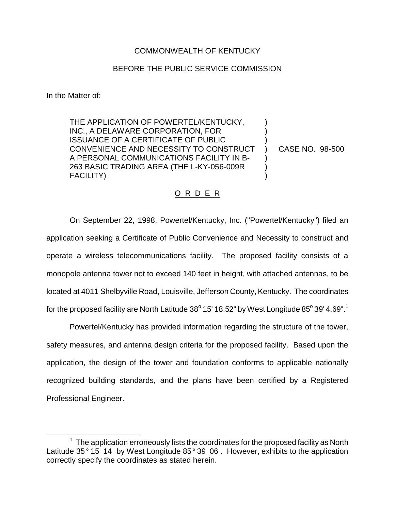## COMMONWEALTH OF KENTUCKY

## BEFORE THE PUBLIC SERVICE COMMISSION

In the Matter of:

THE APPLICATION OF POWERTEL/KENTUCKY, INC., A DELAWARE CORPORATION, FOR ISSUANCE OF A CERTIFICATE OF PUBLIC CONVENIENCE AND NECESSITY TO CONSTRUCT A PERSONAL COMMUNICATIONS FACILITY IN B-263 BASIC TRADING AREA (THE L-KY-056-009R FACILITY)

CASE NO. 98-500

) ) ) ) ) ) )

## O R D E R

On September 22, 1998, Powertel/Kentucky, Inc. ("Powertel/Kentucky") filed an application seeking a Certificate of Public Convenience and Necessity to construct and operate a wireless telecommunications facility. The proposed facility consists of a monopole antenna tower not to exceed 140 feet in height, with attached antennas, to be located at 4011 Shelbyville Road, Louisville, Jefferson County, Kentucky. The coordinates for the proposed facility are North Latitude  $38^{\circ}$  15' 18.52" by West Longitude 85 $^{\circ}$  39' 4.69".<sup>1</sup>

Powertel/Kentucky has provided information regarding the structure of the tower, safety measures, and antenna design criteria for the proposed facility. Based upon the application, the design of the tower and foundation conforms to applicable nationally recognized building standards, and the plans have been certified by a Registered Professional Engineer.

 $1$  The application erroneously lists the coordinates for the proposed facility as North Latitude 35 $^{\circ}$  15 14 by West Longitude 85 $^{\circ}$  39 06. However, exhibits to the application correctly specify the coordinates as stated herein.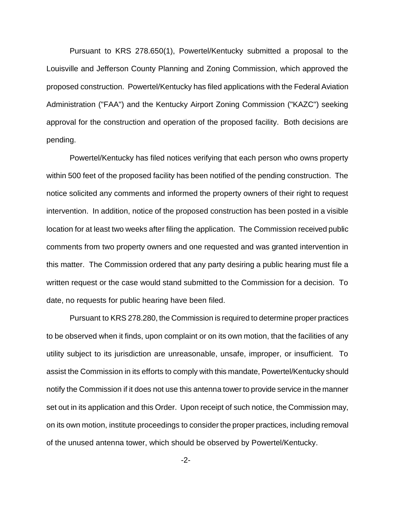Pursuant to KRS 278.650(1), Powertel/Kentucky submitted a proposal to the Louisville and Jefferson County Planning and Zoning Commission, which approved the proposed construction. Powertel/Kentucky has filed applications with the Federal Aviation Administration ("FAA") and the Kentucky Airport Zoning Commission ("KAZC") seeking approval for the construction and operation of the proposed facility. Both decisions are pending.

Powertel/Kentucky has filed notices verifying that each person who owns property within 500 feet of the proposed facility has been notified of the pending construction. The notice solicited any comments and informed the property owners of their right to request intervention. In addition, notice of the proposed construction has been posted in a visible location for at least two weeks after filing the application. The Commission received public comments from two property owners and one requested and was granted intervention in this matter. The Commission ordered that any party desiring a public hearing must file a written request or the case would stand submitted to the Commission for a decision. To date, no requests for public hearing have been filed.

Pursuant to KRS 278.280, the Commission is required to determine proper practices to be observed when it finds, upon complaint or on its own motion, that the facilities of any utility subject to its jurisdiction are unreasonable, unsafe, improper, or insufficient. To assist the Commission in its efforts to comply with this mandate, Powertel/Kentucky should notify the Commission if it does not use this antenna tower to provide service in the manner set out in its application and this Order. Upon receipt of such notice, the Commission may, on its own motion, institute proceedings to consider the proper practices, including removal of the unused antenna tower, which should be observed by Powertel/Kentucky.

-2-